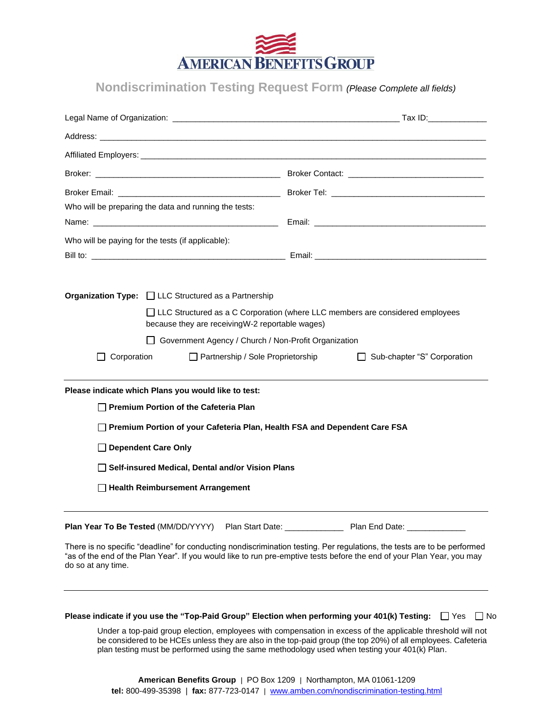

**Nondiscrimination Testing Request Form** *(Please Complete all fields)*

| Who will be preparing the data and running the tests: |  |                                                                                                                                                                              |  |                                                                                                                                                                                                                                                    |  |  |
|-------------------------------------------------------|--|------------------------------------------------------------------------------------------------------------------------------------------------------------------------------|--|----------------------------------------------------------------------------------------------------------------------------------------------------------------------------------------------------------------------------------------------------|--|--|
| Who will be paying for the tests (if applicable):     |  |                                                                                                                                                                              |  |                                                                                                                                                                                                                                                    |  |  |
|                                                       |  | <b>Organization Type:</b> $\Box$ LLC Structured as a Partnership<br>because they are receiving W-2 reportable wages)<br>Government Agency / Church / Non-Profit Organization |  | □ LLC Structured as a C Corporation (where LLC members are considered employees                                                                                                                                                                    |  |  |
| Corporation                                           |  | Partnership / Sole Proprietorship                                                                                                                                            |  | Sub-chapter "S" Corporation                                                                                                                                                                                                                        |  |  |
|                                                       |  | Please indicate which Plans you would like to test:                                                                                                                          |  |                                                                                                                                                                                                                                                    |  |  |
|                                                       |  | Premium Portion of the Cafeteria Plan                                                                                                                                        |  |                                                                                                                                                                                                                                                    |  |  |
|                                                       |  | Premium Portion of your Cafeteria Plan, Health FSA and Dependent Care FSA                                                                                                    |  |                                                                                                                                                                                                                                                    |  |  |
| □ Dependent Care Only                                 |  |                                                                                                                                                                              |  |                                                                                                                                                                                                                                                    |  |  |
|                                                       |  | Self-insured Medical, Dental and/or Vision Plans                                                                                                                             |  |                                                                                                                                                                                                                                                    |  |  |
|                                                       |  | □ Health Reimbursement Arrangement                                                                                                                                           |  |                                                                                                                                                                                                                                                    |  |  |
| Plan Year To Be Tested (MM/DD/YYYY)                   |  |                                                                                                                                                                              |  |                                                                                                                                                                                                                                                    |  |  |
| do so at any time.                                    |  |                                                                                                                                                                              |  | There is no specific "deadline" for conducting nondiscrimination testing. Per regulations, the tests are to be performed<br>"as of the end of the Plan Year". If you would like to run pre-emptive tests before the end of your Plan Year, you may |  |  |
|                                                       |  | Please indicate if you use the "Top-Paid Group" Election when performing your 401(k) Testing:                                                                                |  | $\Box$ Yes<br>l INo                                                                                                                                                                                                                                |  |  |
|                                                       |  |                                                                                                                                                                              |  | Under a top-paid group election, employees with compensation in excess of the applicable threshold will not                                                                                                                                        |  |  |

Under a top-paid group election, employees with compensation in excess of the applicable threshold will not be considered to be HCEs unless they are also in the top-paid group (the top 20%) of all employees. Cafeteria plan testing must be performed using the same methodology used when testing your 401(k) Plan.